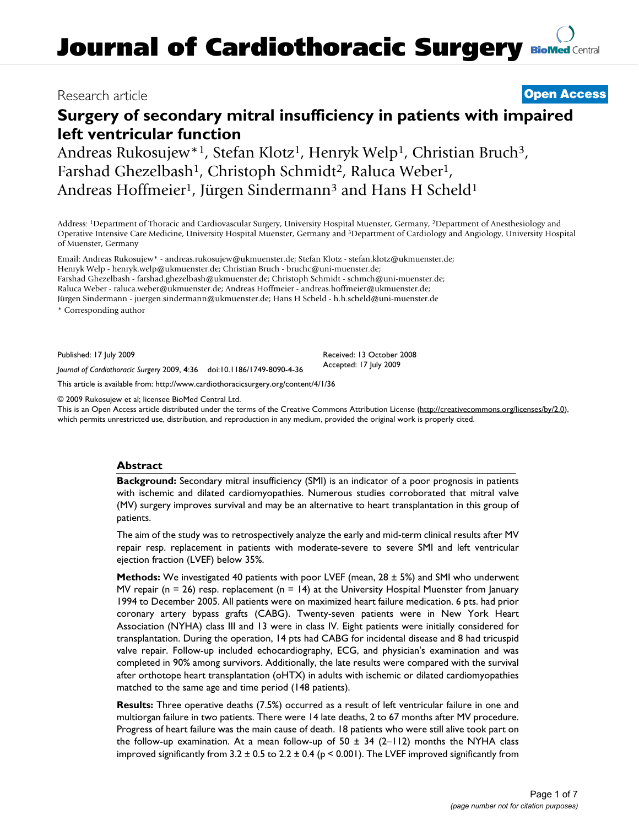# **Journal of Cardiothoracic Surgery [BioMed](http://www.biomedcentral.com/) Central**

# Research article **[Open Access](http://www.biomedcentral.com/info/about/charter/)**

# **Surgery of secondary mitral insufficiency in patients with impaired left ventricular function**

Andreas Rukosujew\*<sup>1</sup>, Stefan Klotz<sup>1</sup>, Henryk Welp<sup>1</sup>, Christian Bruch<sup>3</sup>, Farshad Ghezelbash<sup>1</sup>, Christoph Schmidt<sup>2</sup>, Raluca Weber<sup>1</sup>, Andreas Hoffmeier<sup>1</sup>, Jürgen Sindermann<sup>3</sup> and Hans H Scheld<sup>1</sup>

Address: 1Department of Thoracic and Cardiovascular Surgery, University Hospital Muenster, Germany, 2Department of Anesthesiology and Operative Intensive Care Medicine, University Hospital Muenster, Germany and 3Department of Cardiology and Angiology, University Hospital of Muenster, Germany

Email: Andreas Rukosujew\* - andreas.rukosujew@ukmuenster.de; Stefan Klotz - stefan.klotz@ukmuenster.de; Henryk Welp - henryk.welp@ukmuenster.de; Christian Bruch - bruchc@uni-muenster.de; Farshad Ghezelbash - farshad.ghezelbash@ukmuenster.de; Christoph Schmidt - schmch@uni-muenster.de; Raluca Weber - raluca.weber@ukmuenster.de; Andreas Hoffmeier - andreas.hoffmeier@ukmuenster.de; Jürgen Sindermann - juergen.sindermann@ukmuenster.de; Hans H Scheld - h.h.scheld@uni-muenster.de \* Corresponding author

Published: 17 July 2009

*Journal of Cardiothoracic Surgery* 2009, **4**:36 doi:10.1186/1749-8090-4-36

[This article is available from: http://www.cardiothoracicsurgery.org/content/4/1/36](http://www.cardiothoracicsurgery.org/content/4/1/36)

© 2009 Rukosujew et al; licensee BioMed Central Ltd.

This is an Open Access article distributed under the terms of the Creative Commons Attribution License [\(http://creativecommons.org/licenses/by/2.0\)](http://creativecommons.org/licenses/by/2.0), which permits unrestricted use, distribution, and reproduction in any medium, provided the original work is properly cited.

Received: 13 October 2008 Accepted: 17 July 2009

# **Abstract**

**Background:** Secondary mitral insufficiency (SMI) is an indicator of a poor prognosis in patients with ischemic and dilated cardiomyopathies. Numerous studies corroborated that mitral valve (MV) surgery improves survival and may be an alternative to heart transplantation in this group of patients.

The aim of the study was to retrospectively analyze the early and mid-term clinical results after MV repair resp. replacement in patients with moderate-severe to severe SMI and left ventricular ejection fraction (LVEF) below 35%.

**Methods:** We investigated 40 patients with poor LVEF (mean, 28 ± 5%) and SMI who underwent MV repair ( $n = 26$ ) resp. replacement ( $n = 14$ ) at the University Hospital Muenster from January 1994 to December 2005. All patients were on maximized heart failure medication. 6 pts. had prior coronary artery bypass grafts (CABG). Twenty-seven patients were in New York Heart Association (NYHA) class III and 13 were in class IV. Eight patients were initially considered for transplantation. During the operation, 14 pts had CABG for incidental disease and 8 had tricuspid valve repair. Follow-up included echocardiography, ECG, and physician's examination and was completed in 90% among survivors. Additionally, the late results were compared with the survival after orthotope heart transplantation (oHTX) in adults with ischemic or dilated cardiomyopathies matched to the same age and time period (148 patients).

**Results:** Three operative deaths (7.5%) occurred as a result of left ventricular failure in one and multiorgan failure in two patients. There were 14 late deaths, 2 to 67 months after MV procedure. Progress of heart failure was the main cause of death. 18 patients who were still alive took part on the follow-up examination. At a mean follow-up of  $50 \pm 34$  (2-112) months the NYHA class improved significantly from  $3.2 \pm 0.5$  to  $2.2 \pm 0.4$  (p < 0.001). The LVEF improved significantly from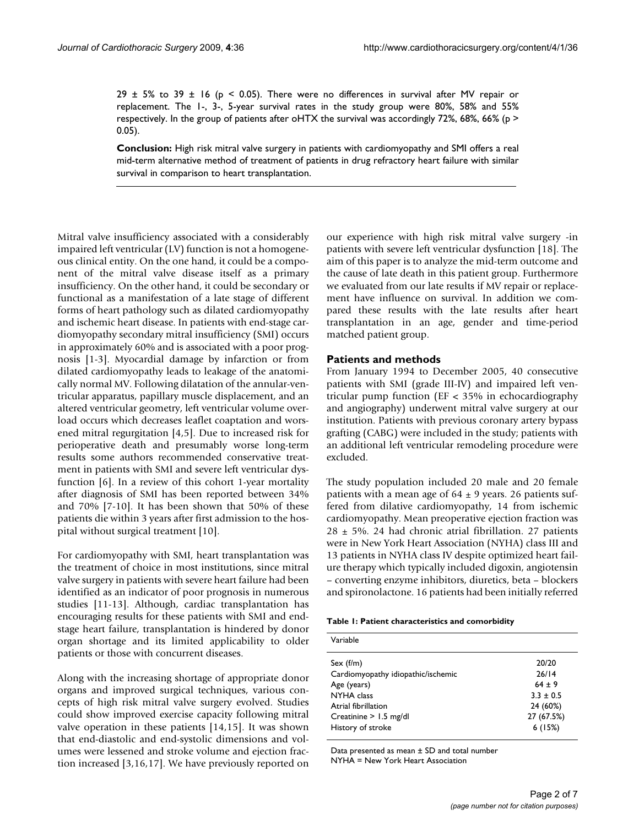29  $\pm$  5% to 39  $\pm$  16 (p < 0.05). There were no differences in survival after MV repair or replacement. The 1-, 3-, 5-year survival rates in the study group were 80%, 58% and 55% respectively. In the group of patients after oHTX the survival was accordingly 72%, 68%, 66% (p > 0.05).

**Conclusion:** High risk mitral valve surgery in patients with cardiomyopathy and SMI offers a real mid-term alternative method of treatment of patients in drug refractory heart failure with similar survival in comparison to heart transplantation.

Mitral valve insufficiency associated with a considerably impaired left ventricular (LV) function is not a homogeneous clinical entity. On the one hand, it could be a component of the mitral valve disease itself as a primary insufficiency. On the other hand, it could be secondary or functional as a manifestation of a late stage of different forms of heart pathology such as dilated cardiomyopathy and ischemic heart disease. In patients with end-stage cardiomyopathy secondary mitral insufficiency (SMI) occurs in approximately 60% and is associated with a poor prognosis [1-3]. Myocardial damage by infarction or from dilated cardiomyopathy leads to leakage of the anatomically normal MV. Following dilatation of the annular-ventricular apparatus, papillary muscle displacement, and an altered ventricular geometry, left ventricular volume overload occurs which decreases leaflet coaptation and worsened mitral regurgitation [4,5]. Due to increased risk for perioperative death and presumably worse long-term results some authors recommended conservative treatment in patients with SMI and severe left ventricular dysfunction [6]. In a review of this cohort 1-year mortality after diagnosis of SMI has been reported between 34% and 70% [7-10]. It has been shown that 50% of these patients die within 3 years after first admission to the hospital without surgical treatment [10].

For cardiomyopathy with SMI, heart transplantation was the treatment of choice in most institutions, since mitral valve surgery in patients with severe heart failure had been identified as an indicator of poor prognosis in numerous studies [11-13]. Although, cardiac transplantation has encouraging results for these patients with SMI and endstage heart failure, transplantation is hindered by donor organ shortage and its limited applicability to older patients or those with concurrent diseases.

Along with the increasing shortage of appropriate donor organs and improved surgical techniques, various concepts of high risk mitral valve surgery evolved. Studies could show improved exercise capacity following mitral valve operation in these patients [14,15]. It was shown that end-diastolic and end-systolic dimensions and volumes were lessened and stroke volume and ejection fraction increased [3,16,17]. We have previously reported on our experience with high risk mitral valve surgery -in patients with severe left ventricular dysfunction [18]. The aim of this paper is to analyze the mid-term outcome and the cause of late death in this patient group. Furthermore we evaluated from our late results if MV repair or replacement have influence on survival. In addition we compared these results with the late results after heart transplantation in an age, gender and time-period matched patient group.

#### **Patients and methods**

From January 1994 to December 2005, 40 consecutive patients with SMI (grade III-IV) and impaired left ventricular pump function (EF < 35% in echocardiography and angiography) underwent mitral valve surgery at our institution. Patients with previous coronary artery bypass grafting (CABG) were included in the study; patients with an additional left ventricular remodeling procedure were excluded.

The study population included 20 male and 20 female patients with a mean age of  $64 \pm 9$  years. 26 patients suffered from dilative cardiomyopathy, 14 from ischemic cardiomyopathy. Mean preoperative ejection fraction was  $28 \pm 5\%$ . 24 had chronic atrial fibrillation. 27 patients were in New York Heart Association (NYHA) class III and 13 patients in NYHA class IV despite optimized heart failure therapy which typically included digoxin, angiotensin – converting enzyme inhibitors, diuretics, beta – blockers and spironolactone. 16 patients had been initially referred

| Table 1: Patient characteristics and comorbidity |
|--------------------------------------------------|
|--------------------------------------------------|

| Variable                           |               |
|------------------------------------|---------------|
| Sex $(f/m)$                        | 20/20         |
| Cardiomyopathy idiopathic/ischemic | 26/14         |
| Age (years)                        | $64 \pm 9$    |
| NYHA class                         | $3.3 \pm 0.5$ |
| Atrial fibrillation                | 24 (60%)      |
| Creatinine $> 1.5$ mg/dl           | 27 (67.5%)    |
| History of stroke                  | 6(15%)        |
|                                    |               |

Data presented as mean ± SD and total number NYHA = New York Heart Association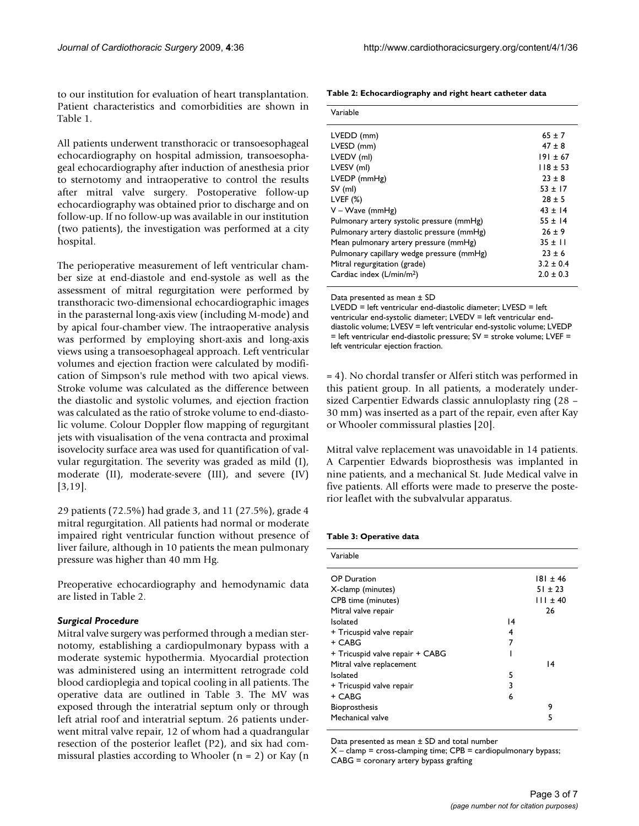to our institution for evaluation of heart transplantation. Patient characteristics and comorbidities are shown in Table 1.

All patients underwent transthoracic or transoesophageal echocardiography on hospital admission, transoesophageal echocardiography after induction of anesthesia prior to sternotomy and intraoperative to control the results after mitral valve surgery. Postoperative follow-up echocardiography was obtained prior to discharge and on follow-up. If no follow-up was available in our institution (two patients), the investigation was performed at a city hospital.

The perioperative measurement of left ventricular chamber size at end-diastole and end-systole as well as the assessment of mitral regurgitation were performed by transthoracic two-dimensional echocardiographic images in the parasternal long-axis view (including M-mode) and by apical four-chamber view. The intraoperative analysis was performed by employing short-axis and long-axis views using a transoesophageal approach. Left ventricular volumes and ejection fraction were calculated by modification of Simpson's rule method with two apical views. Stroke volume was calculated as the difference between the diastolic and systolic volumes, and ejection fraction was calculated as the ratio of stroke volume to end-diastolic volume. Colour Doppler flow mapping of regurgitant jets with visualisation of the vena contracta and proximal isovelocity surface area was used for quantification of valvular regurgitation. The severity was graded as mild (I), moderate (II), moderate-severe (III), and severe (IV) [3,19].

29 patients (72.5%) had grade 3, and 11 (27.5%), grade 4 mitral regurgitation. All patients had normal or moderate impaired right ventricular function without presence of liver failure, although in 10 patients the mean pulmonary pressure was higher than 40 mm Hg.

Preoperative echocardiography and hemodynamic data are listed in Table 2.

#### *Surgical Procedure*

Mitral valve surgery was performed through a median sternotomy, establishing a cardiopulmonary bypass with a moderate systemic hypothermia. Myocardial protection was administered using an intermittent retrograde cold blood cardioplegia and topical cooling in all patients. The operative data are outlined in Table 3. The MV was exposed through the interatrial septum only or through left atrial roof and interatrial septum. 26 patients underwent mitral valve repair, 12 of whom had a quadrangular resection of the posterior leaflet (P2), and six had commissural plasties according to Whooler  $(n = 2)$  or Kay  $(n = 1)$ 

**Table 2: Echocardiography and right heart catheter data**

| Variable                                                              |                                |
|-----------------------------------------------------------------------|--------------------------------|
| LVEDD (mm)                                                            | $65 \pm 7$                     |
| LVESD (mm)<br>LVEDV (ml)                                              | $47 \pm 8$<br>$191 + 67$       |
| LVESV (ml)                                                            | $118 \pm 53$                   |
| $LVEDP$ (mm $Hg$ )                                                    | $23 \pm 8$                     |
| SV (ml)                                                               | $53 \pm 17$                    |
| LVEF $(\%)$                                                           | $28 + 5$                       |
| $V - Wave$ (mmHg)                                                     | $43 \pm 14$                    |
| Pulmonary artery systolic pressure (mmHg)                             | $55 \pm 14$                    |
| Pulmonary artery diastolic pressure (mmHg)                            | $26 \pm 9$                     |
| Mean pulmonary artery pressure (mmHg)                                 | $35 \pm 11$                    |
| Pulmonary capillary wedge pressure (mmHg)                             | $23 \pm 6$                     |
| Mitral regurgitation (grade)<br>Cardiac index (L/min/m <sup>2</sup> ) | $3.2 \pm 0.4$<br>$2.0 \pm 0.3$ |
|                                                                       |                                |

Data presented as mean ± SD

LVEDD = left ventricular end-diastolic diameter; LVESD = left ventricular end-systolic diameter; LVEDV = left ventricular enddiastolic volume; LVESV = left ventricular end-systolic volume; LVEDP = left ventricular end-diastolic pressure; SV = stroke volume; LVEF = left ventricular ejection fraction.

= 4). No chordal transfer or Alferi stitch was performed in this patient group. In all patients, a moderately undersized Carpentier Edwards classic annuloplasty ring (28 – 30 mm) was inserted as a part of the repair, even after Kay or Whooler commissural plasties [20].

Mitral valve replacement was unavoidable in 14 patients. A Carpentier Edwards bioprosthesis was implanted in nine patients, and a mechanical St. Jude Medical valve in five patients. All efforts were made to preserve the posterior leaflet with the subvalvular apparatus.

#### **Table 3: Operative data**

| Variable                        |    |                 |
|---------------------------------|----|-----------------|
| <b>OP</b> Duration              |    | $181 \pm 46$    |
| X-clamp (minutes)               |    | $51 \pm 23$     |
| CPB time (minutes)              |    | $111 \pm 40$    |
| Mitral valve repair             |    | 26              |
| Isolated                        | 14 |                 |
| + Tricuspid valve repair        | 4  |                 |
| + CABG                          | 7  |                 |
| + Tricuspid valve repair + CABG |    |                 |
| Mitral valve replacement        |    | $\overline{14}$ |
| Isolated                        | 5  |                 |
| + Tricuspid valve repair        | 3  |                 |
| + CABG                          | 6  |                 |
| <b>Bioprosthesis</b>            |    | 9               |
| Mechanical valve                |    | 5               |

Data presented as mean ± SD and total number

 $X -$  clamp = cross-clamping time;  $CPB =$  cardiopulmonary bypass;

CABG = coronary artery bypass grafting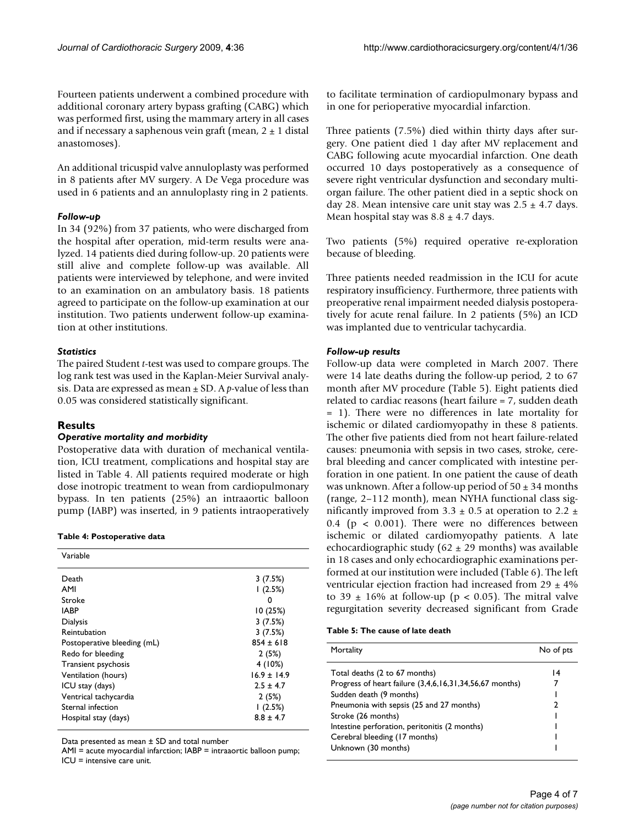Fourteen patients underwent a combined procedure with additional coronary artery bypass grafting (CABG) which was performed first, using the mammary artery in all cases and if necessary a saphenous vein graft (mean,  $2 \pm 1$  distal anastomoses).

An additional tricuspid valve annuloplasty was performed in 8 patients after MV surgery. A De Vega procedure was used in 6 patients and an annuloplasty ring in 2 patients.

#### *Follow-up*

In 34 (92%) from 37 patients, who were discharged from the hospital after operation, mid-term results were analyzed. 14 patients died during follow-up. 20 patients were still alive and complete follow-up was available. All patients were interviewed by telephone, and were invited to an examination on an ambulatory basis. 18 patients agreed to participate on the follow-up examination at our institution. Two patients underwent follow-up examination at other institutions.

#### *Statistics*

The paired Student *t*-test was used to compare groups. The log rank test was used in the Kaplan-Meier Survival analysis. Data are expressed as mean ± SD. A *p*-value of less than 0.05 was considered statistically significant.

# **Results**

#### *Operative mortality and morbidity*

Postoperative data with duration of mechanical ventilation, ICU treatment, complications and hospital stay are listed in Table 4. All patients required moderate or high dose inotropic treatment to wean from cardiopulmonary bypass. In ten patients (25%) an intraaortic balloon pump (IABP) was inserted, in 9 patients intraoperatively

#### **Table 4: Postoperative data**

| Variable                    |                 |
|-----------------------------|-----------------|
|                             |                 |
| Death                       | 3(7.5%)         |
| AMI                         | (2.5%)          |
| Stroke                      | 0               |
| IABP                        | 10(25%)         |
| <b>Dialysis</b>             | 3(7.5%)         |
| Reintubation                | 3(7.5%)         |
| Postoperative bleeding (mL) | $854 \pm 618$   |
| Redo for bleeding           | 2(5%)           |
| Transient psychosis         | 4(10%)          |
| Ventilation (hours)         | $16.9 \pm 14.9$ |
| ICU stay (days)             | $2.5 \pm 4.7$   |
| Ventrical tachycardia       | 2(5%)           |
| Sternal infection           | (2.5%)          |
| Hospital stay (days)        | $8.8 \pm 4.7$   |
|                             |                 |

Data presented as mean ± SD and total number

AMI = acute myocardial infarction; IABP = intraaortic balloon pump; ICU = intensive care unit.

to facilitate termination of cardiopulmonary bypass and in one for perioperative myocardial infarction.

Three patients (7.5%) died within thirty days after surgery. One patient died 1 day after MV replacement and CABG following acute myocardial infarction. One death occurred 10 days postoperatively as a consequence of severe right ventricular dysfunction and secondary multiorgan failure. The other patient died in a septic shock on day 28. Mean intensive care unit stay was  $2.5 \pm 4.7$  days. Mean hospital stay was  $8.8 \pm 4.7$  days.

Two patients (5%) required operative re-exploration because of bleeding.

Three patients needed readmission in the ICU for acute respiratory insufficiency. Furthermore, three patients with preoperative renal impairment needed dialysis postoperatively for acute renal failure. In 2 patients (5%) an ICD was implanted due to ventricular tachycardia.

#### *Follow-up results*

Follow-up data were completed in March 2007. There were 14 late deaths during the follow-up period, 2 to 67 month after MV procedure (Table 5). Eight patients died related to cardiac reasons (heart failure = 7, sudden death = 1). There were no differences in late mortality for ischemic or dilated cardiomyopathy in these 8 patients. The other five patients died from not heart failure-related causes: pneumonia with sepsis in two cases, stroke, cerebral bleeding and cancer complicated with intestine perforation in one patient. In one patient the cause of death was unknown. After a follow-up period of  $50 \pm 34$  months (range, 2–112 month), mean NYHA functional class significantly improved from  $3.3 \pm 0.5$  at operation to  $2.2 \pm$ 0.4 ( $p < 0.001$ ). There were no differences between ischemic or dilated cardiomyopathy patients. A late echocardiographic study (62  $\pm$  29 months) was available in 18 cases and only echocardiographic examinations performed at our institution were included (Table 6). The left ventricular ejection fraction had increased from  $29 \pm 4\%$ to 39  $\pm$  16% at follow-up (p < 0.05). The mitral valve regurgitation severity decreased significant from Grade

**Table 5: The cause of late death**

| Mortality                                               | No of pts       |
|---------------------------------------------------------|-----------------|
| Total deaths (2 to 67 months)                           | $\overline{14}$ |
| Progress of heart failure (3,4,6,16,31,34,56,67 months) |                 |
| Sudden death (9 months)                                 |                 |
| Pneumonia with sepsis (25 and 27 months)                | 7               |
| Stroke (26 months)                                      |                 |
| Intestine perforation, peritonitis (2 months)           |                 |
| Cerebral bleeding (17 months)                           |                 |
| Unknown (30 months)                                     |                 |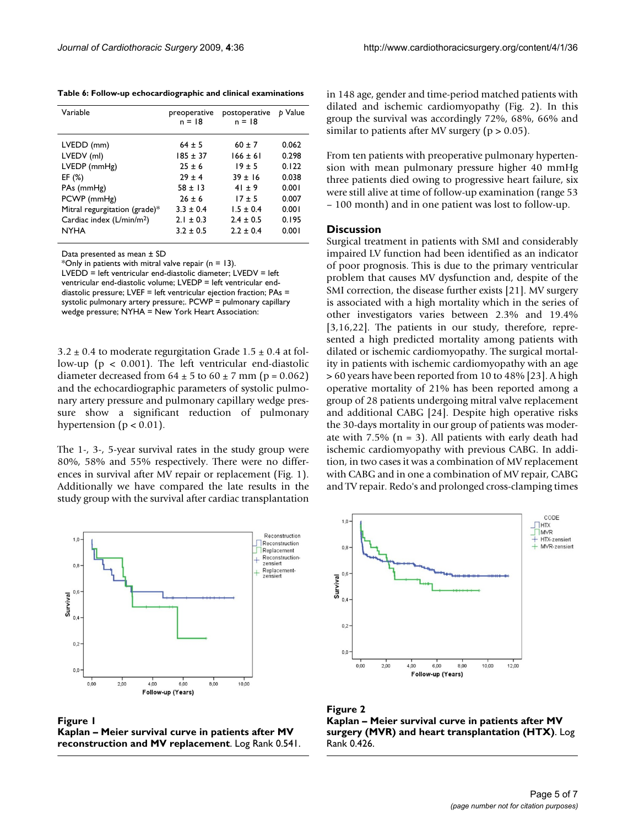**Table 6: Follow-up echocardiographic and clinical examinations**

| Variable                              | preoperative<br>$n = 18$ | postoperative<br>$n = 18$ | b Value |
|---------------------------------------|--------------------------|---------------------------|---------|
|                                       |                          |                           |         |
| LVEDD (mm)                            | $64 + 5$                 | $60 \pm 7$                | 0.062   |
| LVEDV (ml)                            | $185 + 37$               | $166 + 61$                | 0.298   |
| LVEDP (mmHg)                          | $25 + 6$                 | $19 \pm 5$                | 0.122   |
| EF $(\%)$                             | $29 + 4$                 | $39 + 16$                 | 0.038   |
| PAs (mmHg)                            | $58 \pm 13$              | $41 + 9$                  | 0.001   |
| PCWP (mmHg)                           | $26 \pm 6$               | $17 \pm 5$                | 0.007   |
| Mitral regurgitation (grade)*         | $3.3 \pm 0.4$            | $1.5 \pm 0.4$             | 0.001   |
| Cardiac index (L/min/m <sup>2</sup> ) | $2.1 \pm 0.3$            | $2.4 + 0.5$               | 0.195   |
| <b>NYHA</b>                           | $3.2 \pm 0.5$            | $2.2 + 0.4$               | 0.001   |
|                                       |                          |                           |         |

Data presented as mean ± SD

\*Only in patients with mitral valve repair  $(n = 13)$ . LVEDD = left ventricular end-diastolic diameter; LVEDV = left ventricular end-diastolic volume; LVEDP = left ventricular enddiastolic pressure; LVEF = left ventricular ejection fraction; PAs = systolic pulmonary artery pressure;. PCWP = pulmonary capillary wedge pressure; NYHA = New York Heart Association:

 $3.2 \pm 0.4$  to moderate regurgitation Grade  $1.5 \pm 0.4$  at follow-up (p < 0.001). The left ventricular end-diastolic diameter decreased from  $64 \pm 5$  to  $60 \pm 7$  mm (p = 0.062) and the echocardiographic parameters of systolic pulmonary artery pressure and pulmonary capillary wedge pressure show a significant reduction of pulmonary hypertension ( $p < 0.01$ ).

The 1-, 3-, 5-year survival rates in the study group were 80%, 58% and 55% respectively. There were no differences in survival after MV repair or replacement (Fig. 1). Additionally we have compared the late results in the study group with the survival after cardiac transplantation



Figure 1 **Kaplan – Meier survival curve in patients after MV reconstruction and MV replacement**. Log Rank 0.541.

in 148 age, gender and time-period matched patients with dilated and ischemic cardiomyopathy (Fig. 2). In this group the survival was accordingly 72%, 68%, 66% and similar to patients after MV surgery ( $p > 0.05$ ).

From ten patients with preoperative pulmonary hypertension with mean pulmonary pressure higher 40 mmHg three patients died owing to progressive heart failure, six were still alive at time of follow-up examination (range 53 – 100 month) and in one patient was lost to follow-up.

#### **Discussion**

Surgical treatment in patients with SMI and considerably impaired LV function had been identified as an indicator of poor prognosis. This is due to the primary ventricular problem that causes MV dysfunction and, despite of the SMI correction, the disease further exists [21]. MV surgery is associated with a high mortality which in the series of other investigators varies between 2.3% and 19.4% [3,16,22]. The patients in our study, therefore, represented a high predicted mortality among patients with dilated or ischemic cardiomyopathy. The surgical mortality in patients with ischemic cardiomyopathy with an age > 60 years have been reported from 10 to 48% [23]. A high operative mortality of 21% has been reported among a group of 28 patients undergoing mitral valve replacement and additional CABG [24]. Despite high operative risks the 30-days mortality in our group of patients was moderate with  $7.5\%$  (n = 3). All patients with early death had ischemic cardiomyopathy with previous CABG. In addition, in two cases it was a combination of MV replacement with CABG and in one a combination of MV repair, CABG and TV repair. Redo's and prolonged cross-clamping times



**Figure 2 Kaplan – Meier survival curve in patients after MV surgery (MVR) and heart transplantation (HTX)**. Log Rank 0.426.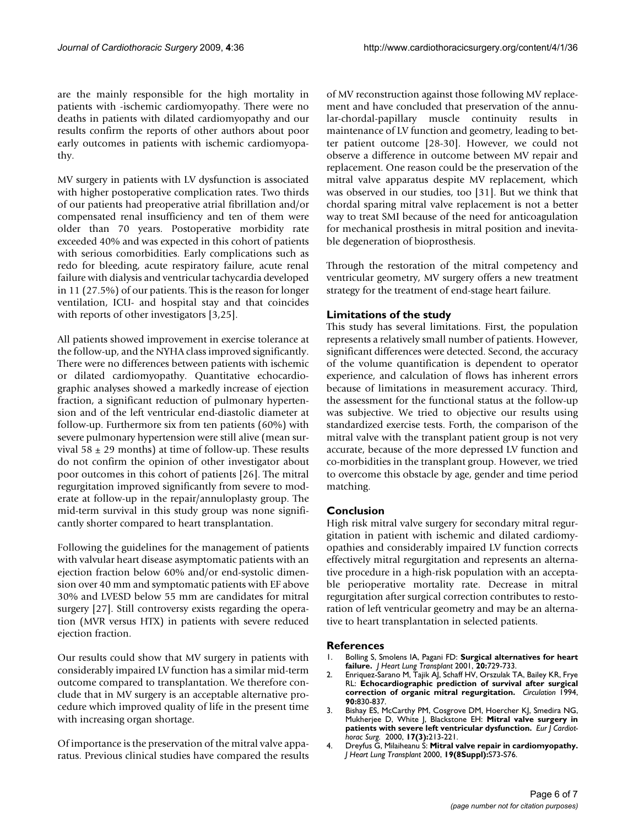are the mainly responsible for the high mortality in patients with -ischemic cardiomyopathy. There were no deaths in patients with dilated cardiomyopathy and our results confirm the reports of other authors about poor early outcomes in patients with ischemic cardiomyopathy.

MV surgery in patients with LV dysfunction is associated with higher postoperative complication rates. Two thirds of our patients had preoperative atrial fibrillation and/or compensated renal insufficiency and ten of them were older than 70 years. Postoperative morbidity rate exceeded 40% and was expected in this cohort of patients with serious comorbidities. Early complications such as redo for bleeding, acute respiratory failure, acute renal failure with dialysis and ventricular tachycardia developed in 11 (27.5%) of our patients. This is the reason for longer ventilation, ICU- and hospital stay and that coincides with reports of other investigators [3,25].

All patients showed improvement in exercise tolerance at the follow-up, and the NYHA class improved significantly. There were no differences between patients with ischemic or dilated cardiomyopathy. Quantitative echocardiographic analyses showed a markedly increase of ejection fraction, a significant reduction of pulmonary hypertension and of the left ventricular end-diastolic diameter at follow-up. Furthermore six from ten patients (60%) with severe pulmonary hypertension were still alive (mean survival  $58 \pm 29$  months) at time of follow-up. These results do not confirm the opinion of other investigator about poor outcomes in this cohort of patients [26]. The mitral regurgitation improved significantly from severe to moderate at follow-up in the repair/annuloplasty group. The mid-term survival in this study group was none significantly shorter compared to heart transplantation.

Following the guidelines for the management of patients with valvular heart disease asymptomatic patients with an ejection fraction below 60% and/or end-systolic dimension over 40 mm and symptomatic patients with EF above 30% and LVESD below 55 mm are candidates for mitral surgery [27]. Still controversy exists regarding the operation (MVR versus HTX) in patients with severe reduced ejection fraction.

Our results could show that MV surgery in patients with considerably impaired LV function has a similar mid-term outcome compared to transplantation. We therefore conclude that in MV surgery is an acceptable alternative procedure which improved quality of life in the present time with increasing organ shortage.

Of importance is the preservation of the mitral valve apparatus. Previous clinical studies have compared the results of MV reconstruction against those following MV replacement and have concluded that preservation of the annular-chordal-papillary muscle continuity results in maintenance of LV function and geometry, leading to better patient outcome [28-30]. However, we could not observe a difference in outcome between MV repair and replacement. One reason could be the preservation of the mitral valve apparatus despite MV replacement, which was observed in our studies, too [31]. But we think that chordal sparing mitral valve replacement is not a better way to treat SMI because of the need for anticoagulation for mechanical prosthesis in mitral position and inevitable degeneration of bioprosthesis.

Through the restoration of the mitral competency and ventricular geometry, MV surgery offers a new treatment strategy for the treatment of end-stage heart failure.

# **Limitations of the study**

This study has several limitations. First, the population represents a relatively small number of patients. However, significant differences were detected. Second, the accuracy of the volume quantification is dependent to operator experience, and calculation of flows has inherent errors because of limitations in measurement accuracy. Third, the assessment for the functional status at the follow-up was subjective. We tried to objective our results using standardized exercise tests. Forth, the comparison of the mitral valve with the transplant patient group is not very accurate, because of the more depressed LV function and co-morbidities in the transplant group. However, we tried to overcome this obstacle by age, gender and time period matching.

# **Conclusion**

High risk mitral valve surgery for secondary mitral regurgitation in patient with ischemic and dilated cardiomyopathies and considerably impaired LV function corrects effectively mitral regurgitation and represents an alternative procedure in a high-risk population with an acceptable perioperative mortality rate. Decrease in mitral regurgitation after surgical correction contributes to restoration of left ventricular geometry and may be an alternative to heart transplantation in selected patients.

# **References**

- 1. Bolling S, Smolens IA, Pagani FD: **[Surgical alternatives for heart](http://www.ncbi.nlm.nih.gov/entrez/query.fcgi?cmd=Retrieve&db=PubMed&dopt=Abstract&list_uids=11448798) [failure.](http://www.ncbi.nlm.nih.gov/entrez/query.fcgi?cmd=Retrieve&db=PubMed&dopt=Abstract&list_uids=11448798)** *J Heart Lung Transplant* 2001, **20:**729-733.
- 2. Enriquez-Sarano M, Tajik AJ, Schaff HV, Orszulak TA, Bailey KR, Frye RL: **[Echocardiographic prediction of survival after surgical](http://www.ncbi.nlm.nih.gov/entrez/query.fcgi?cmd=Retrieve&db=PubMed&dopt=Abstract&list_uids=8044955) [correction of organic mitral regurgitation.](http://www.ncbi.nlm.nih.gov/entrez/query.fcgi?cmd=Retrieve&db=PubMed&dopt=Abstract&list_uids=8044955)** *Circulation* 1994, **90:**830-837.
- 3. Bishay ES, McCarthy PM, Cosgrove DM, Hoercher KJ, Smedira NG, Mukherjee D, White J, Blackstone EH: **[Mitral valve surgery in](http://www.ncbi.nlm.nih.gov/entrez/query.fcgi?cmd=Retrieve&db=PubMed&dopt=Abstract&list_uids=10758378) [patients with severe left ventricular dysfunction.](http://www.ncbi.nlm.nih.gov/entrez/query.fcgi?cmd=Retrieve&db=PubMed&dopt=Abstract&list_uids=10758378)** *Eur J Cardiothorac Surg.* 2000, **17(3):**213-221.
- 4. Dreyfus G, Milaiheanu S: **Mitral valve repair in cardiomyopathy.** *J Heart Lung Transplant* 2000, **19(8Suppl):**S73-S76.